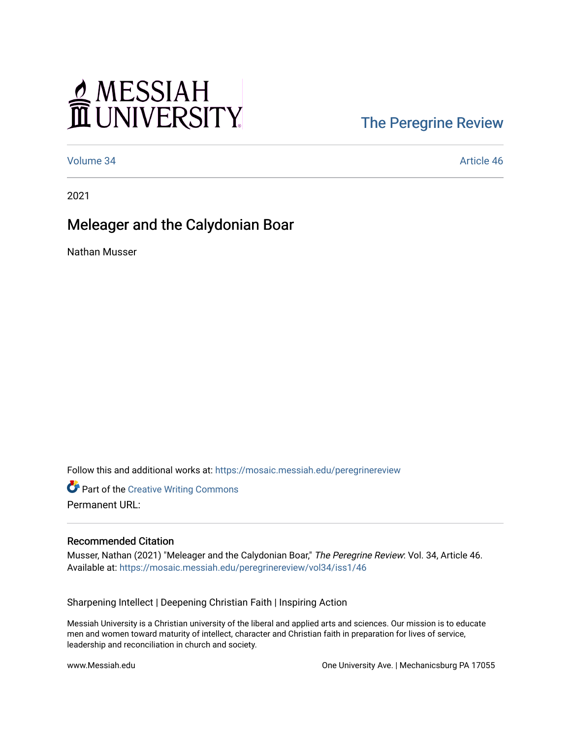# MESSIAH

## [The Peregrine Review](https://mosaic.messiah.edu/peregrinereview)

[Volume 34](https://mosaic.messiah.edu/peregrinereview/vol34) [Article 46](https://mosaic.messiah.edu/peregrinereview/vol34/iss1/46) 

2021

### Meleager and the Calydonian Boar

Nathan Musser

Follow this and additional works at: [https://mosaic.messiah.edu/peregrinereview](https://mosaic.messiah.edu/peregrinereview?utm_source=mosaic.messiah.edu%2Fperegrinereview%2Fvol34%2Fiss1%2F46&utm_medium=PDF&utm_campaign=PDFCoverPages) 

**Part of the Creative Writing Commons** Permanent URL:

#### Recommended Citation

Musser, Nathan (2021) "Meleager and the Calydonian Boar," The Peregrine Review: Vol. 34, Article 46. Available at: [https://mosaic.messiah.edu/peregrinereview/vol34/iss1/46](https://mosaic.messiah.edu/peregrinereview/vol34/iss1/46?utm_source=mosaic.messiah.edu%2Fperegrinereview%2Fvol34%2Fiss1%2F46&utm_medium=PDF&utm_campaign=PDFCoverPages)

Sharpening Intellect | Deepening Christian Faith | Inspiring Action

Messiah University is a Christian university of the liberal and applied arts and sciences. Our mission is to educate men and women toward maturity of intellect, character and Christian faith in preparation for lives of service, leadership and reconciliation in church and society.

www.Messiah.edu One University Ave. | Mechanicsburg PA 17055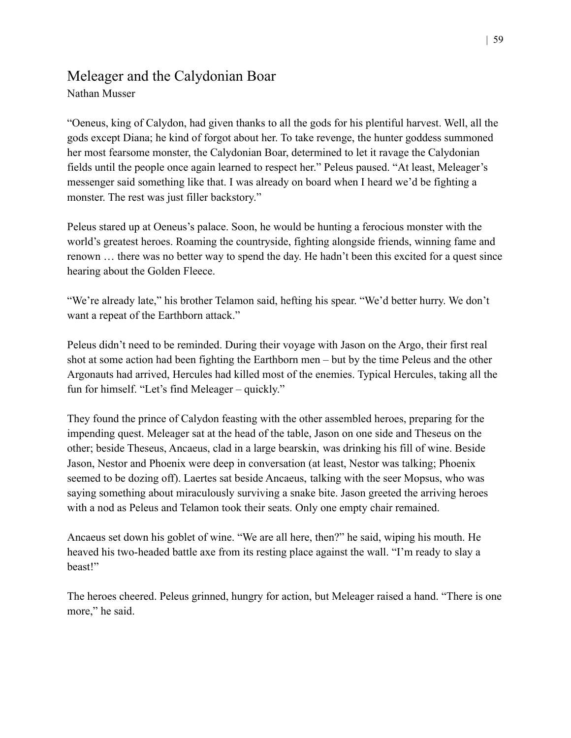#### Meleager and the Calydonian Boar

Nathan Musser

"Oeneus, king of Calydon, had given thanks to all the gods for his plentiful harvest. Well, all the gods except Diana; he kind of forgot about her. To take revenge, the hunter goddess summoned her most fearsome monster, the Calydonian Boar, determined to let it ravage the Calydonian fields until the people once again learned to respect her." Peleus paused. "At least, Meleager's messenger said something like that. I was already on board when I heard we'd be fighting a monster. The rest was just filler backstory."

Peleus stared up at Oeneus's palace. Soon, he would be hunting a ferocious monster with the world's greatest heroes. Roaming the countryside, fighting alongside friends, winning fame and renown … there was no better way to spend the day. He hadn't been this excited for a quest since hearing about the Golden Fleece.

"We're already late," his brother Telamon said, hefting his spear. "We'd better hurry. We don't want a repeat of the Earthborn attack."

Peleus didn't need to be reminded. During their voyage with Jason on the Argo, their first real shot at some action had been fighting the Earthborn men – but by the time Peleus and the other Argonauts had arrived, Hercules had killed most of the enemies. Typical Hercules, taking all the fun for himself. "Let's find Meleager – quickly."

They found the prince of Calydon feasting with the other assembled heroes, preparing for the impending quest. Meleager sat at the head of the table, Jason on one side and Theseus on the other; beside Theseus, Ancaeus, clad in a large bearskin, was drinking his fill of wine. Beside Jason, Nestor and Phoenix were deep in conversation (at least, Nestor was talking; Phoenix seemed to be dozing off). Laertes sat beside Ancaeus, talking with the seer Mopsus, who was saying something about miraculously surviving a snake bite. Jason greeted the arriving heroes with a nod as Peleus and Telamon took their seats. Only one empty chair remained.

Ancaeus set down his goblet of wine. "We are all here, then?" he said, wiping his mouth. He heaved his two-headed battle axe from its resting place against the wall. "I'm ready to slay a beast!"

The heroes cheered. Peleus grinned, hungry for action, but Meleager raised a hand. "There is one more," he said.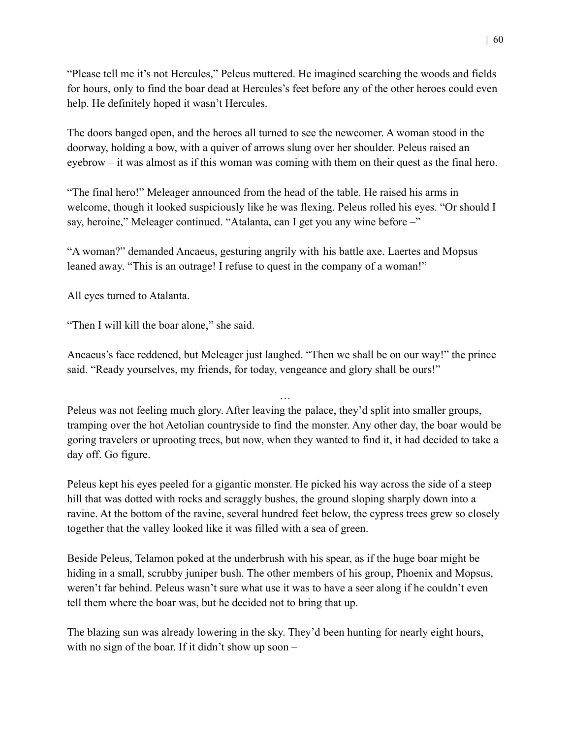"Please tell me it's not Hercules," Peleus muttered. He imagined searching the woods and fields for hours, only to find the boar dead at Hercules's feet before any of the other heroes could even help. He definitely hoped it wasn't Hercules.

The doors banged open, and the heroes all turned to see the newcomer. A woman stood in the doorway, holding a bow, with a quiver of arrows slung over her shoulder. Peleus raised an eyebrow – it was almost as if this woman was coming with them on their quest as the final hero.

"The final hero!" Meleager announced from the head of the table. He raised his arms in welcome, though it looked suspiciously like he was flexing. Peleus rolled his eyes. "Or should I say, heroine," Meleager continued. "Atalanta, can I get you any wine before –"

"A woman?" demanded Ancaeus, gesturing angrily with his battle axe. Laertes and Mopsus leaned away. "This is an outrage! I refuse to quest in the company of a woman!"

All eyes turned to Atalanta.

"Then I will kill the boar alone," she said.

Ancaeus's face reddened, but Meleager just laughed. "Then we shall be on our way!" the prince said. "Ready yourselves, my friends, for today, vengeance and glory shall be ours!"

Peleus was not feeling much glory. After leaving the palace, they'd split into smaller groups, tramping over the hot Aetolian countryside to find the monster. Any other day, the boar would be goring travelers or uprooting trees, but now, when they wanted to find it, it had decided to take a day off. Go figure.

…

Peleus kept his eyes peeled for a gigantic monster. He picked his way across the side of a steep hill that was dotted with rocks and scraggly bushes, the ground sloping sharply down into a ravine. At the bottom of the ravine, several hundred feet below, the cypress trees grew so closely together that the valley looked like it was filled with a sea of green.

Beside Peleus, Telamon poked at the underbrush with his spear, as if the huge boar might be hiding in a small, scrubby juniper bush. The other members of his group, Phoenix and Mopsus, weren't far behind. Peleus wasn't sure what use it was to have a seer along if he couldn't even tell them where the boar was, but he decided not to bring that up.

The blazing sun was already lowering in the sky. They'd been hunting for nearly eight hours, with no sign of the boar. If it didn't show up soon –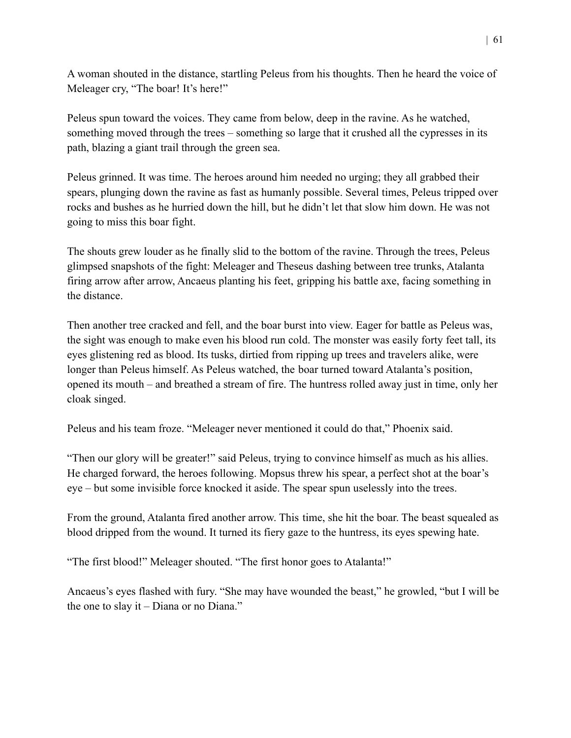A woman shouted in the distance, startling Peleus from his thoughts. Then he heard the voice of Meleager cry, "The boar! It's here!"

Peleus spun toward the voices. They came from below, deep in the ravine. As he watched, something moved through the trees – something so large that it crushed all the cypresses in its path, blazing a giant trail through the green sea.

Peleus grinned. It was time. The heroes around him needed no urging; they all grabbed their spears, plunging down the ravine as fast as humanly possible. Several times, Peleus tripped over rocks and bushes as he hurried down the hill, but he didn't let that slow him down. He was not going to miss this boar fight.

The shouts grew louder as he finally slid to the bottom of the ravine. Through the trees, Peleus glimpsed snapshots of the fight: Meleager and Theseus dashing between tree trunks, Atalanta firing arrow after arrow, Ancaeus planting his feet, gripping his battle axe, facing something in the distance.

Then another tree cracked and fell, and the boar burst into view. Eager for battle as Peleus was, the sight was enough to make even his blood run cold. The monster was easily forty feet tall, its eyes glistening red as blood. Its tusks, dirtied from ripping up trees and travelers alike, were longer than Peleus himself. As Peleus watched, the boar turned toward Atalanta's position, opened its mouth – and breathed a stream of fire. The huntress rolled away just in time, only her cloak singed.

Peleus and his team froze. "Meleager never mentioned it could do that," Phoenix said.

"Then our glory will be greater!" said Peleus, trying to convince himself as much as his allies. He charged forward, the heroes following. Mopsus threw his spear, a perfect shot at the boar's eye – but some invisible force knocked it aside. The spear spun uselessly into the trees.

From the ground, Atalanta fired another arrow. This time, she hit the boar. The beast squealed as blood dripped from the wound. It turned its fiery gaze to the huntress, its eyes spewing hate.

"The first blood!" Meleager shouted. "The first honor goes to Atalanta!"

Ancaeus's eyes flashed with fury. "She may have wounded the beast," he growled, "but I will be the one to slay it – Diana or no Diana."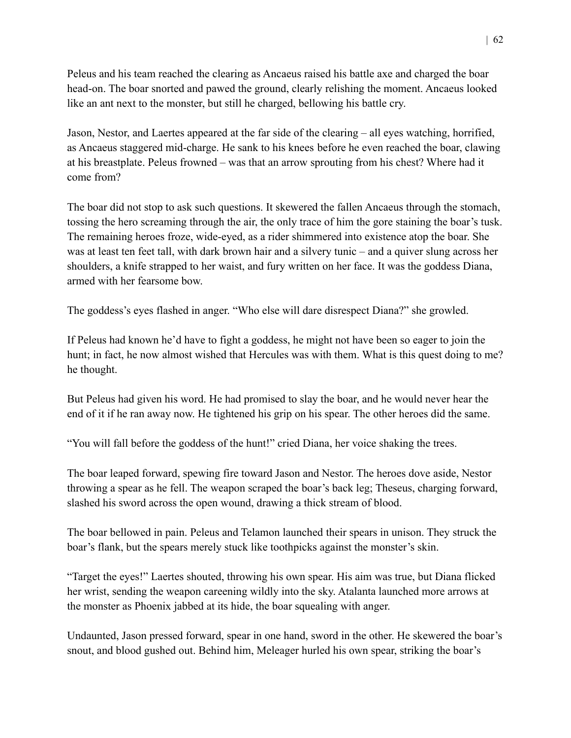Peleus and his team reached the clearing as Ancaeus raised his battle axe and charged the boar head-on. The boar snorted and pawed the ground, clearly relishing the moment. Ancaeus looked like an ant next to the monster, but still he charged, bellowing his battle cry.

Jason, Nestor, and Laertes appeared at the far side of the clearing – all eyes watching, horrified, as Ancaeus staggered mid-charge. He sank to his knees before he even reached the boar, clawing at his breastplate. Peleus frowned – was that an arrow sprouting from his chest? Where had it come from?

The boar did not stop to ask such questions. It skewered the fallen Ancaeus through the stomach, tossing the hero screaming through the air, the only trace of him the gore staining the boar's tusk. The remaining heroes froze, wide-eyed, as a rider shimmered into existence atop the boar. She was at least ten feet tall, with dark brown hair and a silvery tunic – and a quiver slung across her shoulders, a knife strapped to her waist, and fury written on her face. It was the goddess Diana, armed with her fearsome bow.

The goddess's eyes flashed in anger. "Who else will dare disrespect Diana?" she growled.

If Peleus had known he'd have to fight a goddess, he might not have been so eager to join the hunt; in fact, he now almost wished that Hercules was with them. What is this quest doing to me? he thought.

But Peleus had given his word. He had promised to slay the boar, and he would never hear the end of it if he ran away now. He tightened his grip on his spear. The other heroes did the same.

"You will fall before the goddess of the hunt!" cried Diana, her voice shaking the trees.

The boar leaped forward, spewing fire toward Jason and Nestor. The heroes dove aside, Nestor throwing a spear as he fell. The weapon scraped the boar's back leg; Theseus, charging forward, slashed his sword across the open wound, drawing a thick stream of blood.

The boar bellowed in pain. Peleus and Telamon launched their spears in unison. They struck the boar's flank, but the spears merely stuck like toothpicks against the monster's skin.

"Target the eyes!" Laertes shouted, throwing his own spear. His aim was true, but Diana flicked her wrist, sending the weapon careening wildly into the sky. Atalanta launched more arrows at the monster as Phoenix jabbed at its hide, the boar squealing with anger.

Undaunted, Jason pressed forward, spear in one hand, sword in the other. He skewered the boar's snout, and blood gushed out. Behind him, Meleager hurled his own spear, striking the boar's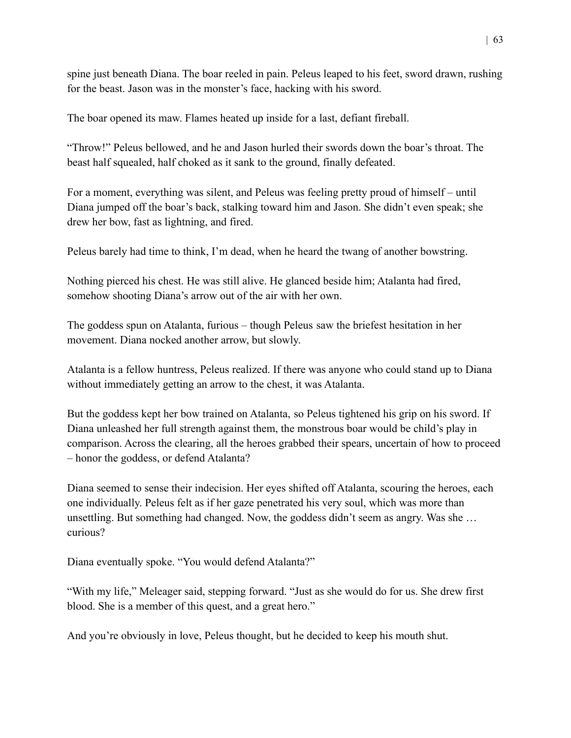spine just beneath Diana. The boar reeled in pain. Peleus leaped to his feet, sword drawn, rushing for the beast. Jason was in the monster's face, hacking with his sword.

The boar opened its maw. Flames heated up inside for a last, defiant fireball.

"Throw!" Peleus bellowed, and he and Jason hurled their swords down the boar's throat. The beast half squealed, half choked as it sank to the ground, finally defeated.

For a moment, everything was silent, and Peleus was feeling pretty proud of himself – until Diana jumped off the boar's back, stalking toward him and Jason. She didn't even speak; she drew her bow, fast as lightning, and fired.

Peleus barely had time to think, I'm dead, when he heard the twang of another bowstring.

Nothing pierced his chest. He was still alive. He glanced beside him; Atalanta had fired, somehow shooting Diana's arrow out of the air with her own.

The goddess spun on Atalanta, furious – though Peleus saw the briefest hesitation in her movement. Diana nocked another arrow, but slowly.

Atalanta is a fellow huntress, Peleus realized. If there was anyone who could stand up to Diana without immediately getting an arrow to the chest, it was Atalanta.

But the goddess kept her bow trained on Atalanta, so Peleus tightened his grip on his sword. If Diana unleashed her full strength against them, the monstrous boar would be child's play in comparison. Across the clearing, all the heroes grabbed their spears, uncertain of how to proceed – honor the goddess, or defend Atalanta?

Diana seemed to sense their indecision. Her eyes shifted off Atalanta, scouring the heroes, each one individually. Peleus felt as if her gaze penetrated his very soul, which was more than unsettling. But something had changed. Now, the goddess didn't seem as angry. Was she … curious?

Diana eventually spoke. "You would defend Atalanta?"

"With my life," Meleager said, stepping forward. "Just as she would do for us. She drew first blood. She is a member of this quest, and a great hero."

And you're obviously in love, Peleus thought, but he decided to keep his mouth shut.